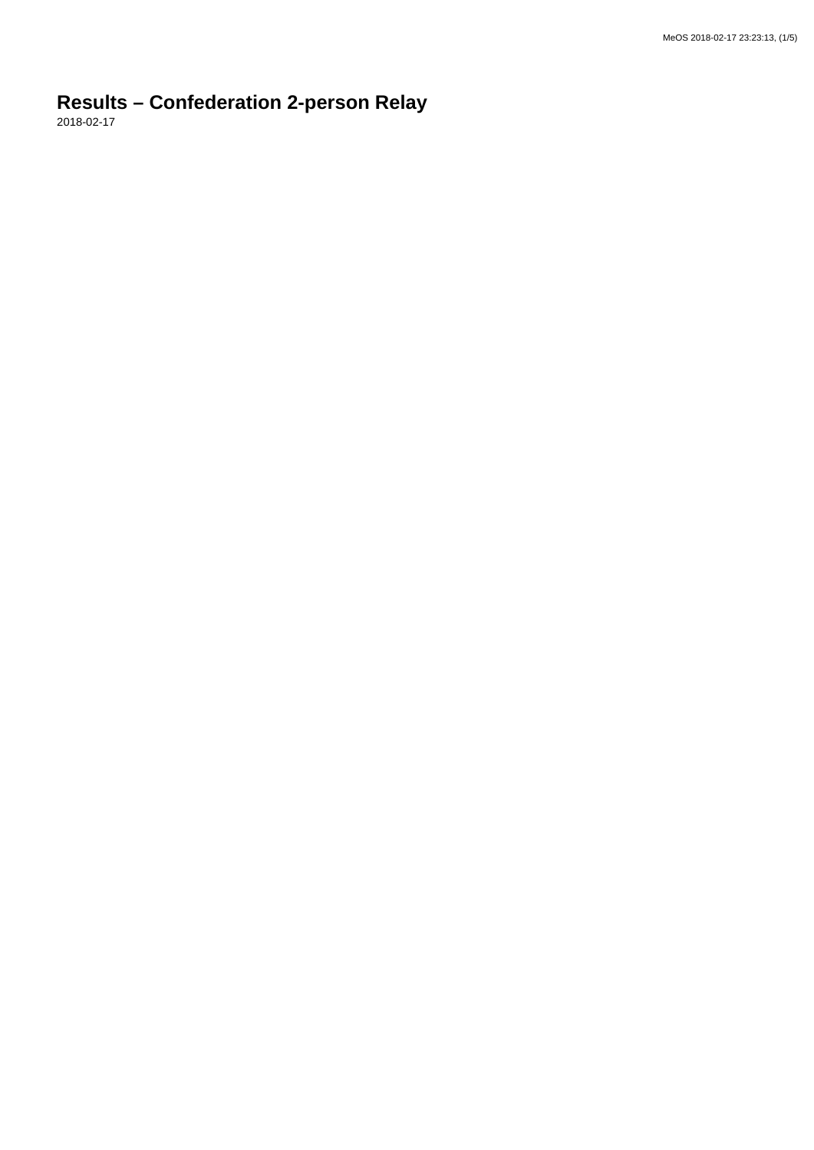## **Results – Confederation 2-person Relay**

2018-02-17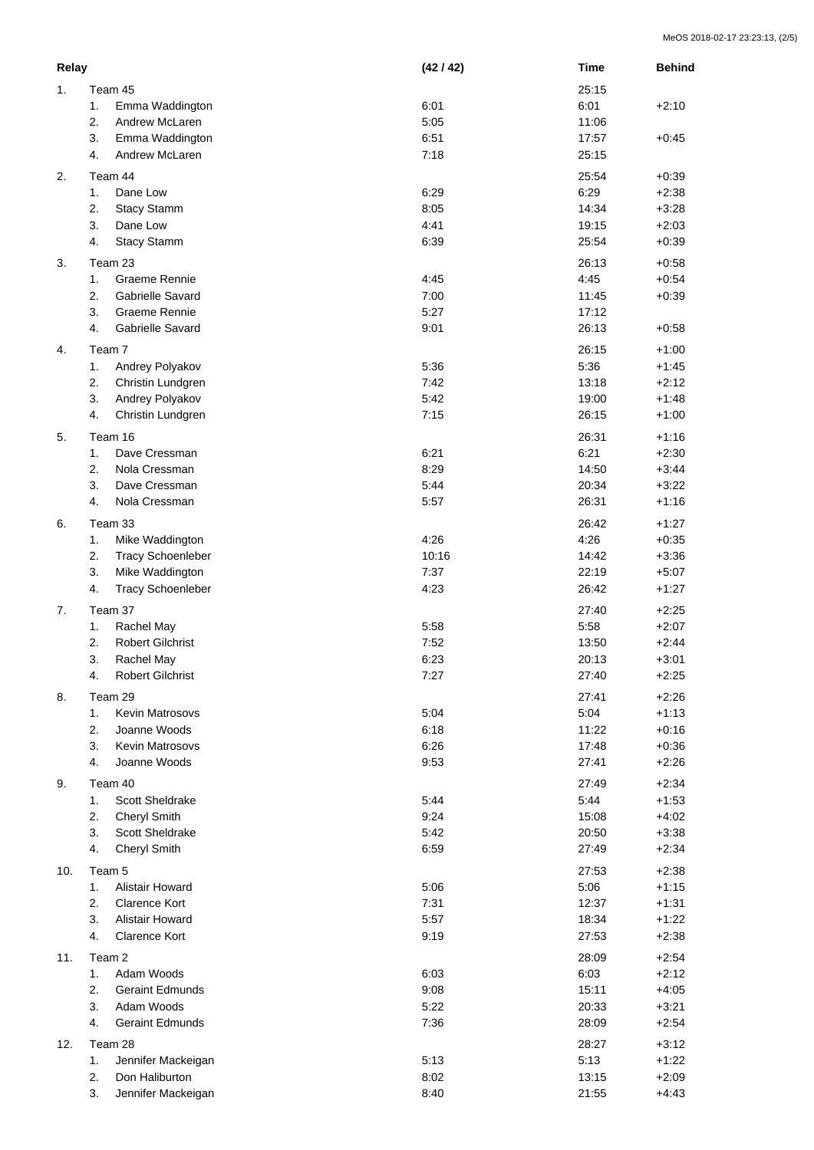|     | Relay   |                          | (42/42) | <b>Time</b> | <b>Behind</b> |
|-----|---------|--------------------------|---------|-------------|---------------|
| 1.  | Team 45 |                          |         | 25:15       |               |
|     | 1.      | Emma Waddington          | 6:01    | 6:01        | $+2:10$       |
|     | 2.      | Andrew McLaren           | 5:05    | 11:06       |               |
|     | 3.      | Emma Waddington          | 6:51    | 17:57       | $+0:45$       |
|     | 4.      | Andrew McLaren           | 7:18    | 25:15       |               |
|     |         |                          |         |             |               |
| 2.  |         | Team 44                  |         | 25:54       | $+0:39$       |
|     | 1.      | Dane Low                 | 6:29    | 6:29        | $+2:38$       |
|     | 2.      | Stacy Stamm              | 8:05    | 14:34       | $+3:28$       |
|     | 3.      | Dane Low                 | 4:41    | 19:15       | $+2:03$       |
|     | 4.      | <b>Stacy Stamm</b>       | 6:39    | 25:54       | $+0:39$       |
| 3.  |         | Team 23                  |         | 26:13       | $+0:58$       |
|     | 1.      | Graeme Rennie            | 4:45    | 4:45        | $+0:54$       |
|     | 2.      | <b>Gabrielle Savard</b>  | 7:00    | 11:45       | $+0:39$       |
|     | 3.      | Graeme Rennie            | 5:27    | 17:12       |               |
|     | 4.      | Gabrielle Savard         | 9:01    | 26:13       | $+0:58$       |
|     |         |                          |         |             |               |
| 4.  |         | Team 7                   |         | 26:15       | $+1:00$       |
|     | 1.      | Andrey Polyakov          | 5:36    | 5:36        | $+1:45$       |
|     | 2.      | Christin Lundgren        | 7:42    | 13:18       | $+2:12$       |
|     | 3.      | Andrey Polyakov          | 5:42    | 19:00       | $+1:48$       |
|     | 4.      | Christin Lundgren        | 7:15    | 26:15       | $+1:00$       |
| 5.  |         | Team 16                  |         | 26:31       | $+1:16$       |
|     | 1.      | Dave Cressman            | 6:21    | 6:21        | $+2:30$       |
|     | 2.      | Nola Cressman            | 8:29    | 14:50       | $+3:44$       |
|     | 3.      | Dave Cressman            | 5:44    | 20:34       | $+3:22$       |
|     | 4.      | Nola Cressman            | 5:57    | 26:31       | $+1:16$       |
|     |         |                          |         |             |               |
| 6.  |         | Team 33                  |         | 26:42       | $+1:27$       |
|     | 1.      | Mike Waddington          | 4:26    | 4:26        | $+0:35$       |
|     | 2.      | <b>Tracy Schoenleber</b> | 10:16   | 14:42       | $+3:36$       |
|     | 3.      | Mike Waddington          | 7:37    | 22:19       | $+5:07$       |
|     | 4.      | <b>Tracy Schoenleber</b> | 4:23    | 26:42       | $+1:27$       |
| 7.  |         | Team 37                  |         | 27:40       | $+2:25$       |
|     | 1.      | Rachel May               | 5:58    | 5:58        | $+2:07$       |
|     | 2.      | <b>Robert Gilchrist</b>  | 7:52    | 13:50       | $+2:44$       |
|     | 3.      | Rachel May               | 6:23    | 20:13       | $+3:01$       |
|     | 4.      | Robert Gilchrist         | 7:27    | 27:40       | $+2:25$       |
|     |         |                          |         |             |               |
| 8.  |         | Team 29                  |         | 27:41       | $+2:26$       |
|     | 1.      | Kevin Matrosovs          | 5:04    | 5:04        | $+1:13$       |
|     | 2.      | Joanne Woods             | 6:18    | 11:22       | $+0:16$       |
|     | 3.      | <b>Kevin Matrosovs</b>   | 6:26    | 17:48       | $+0:36$       |
|     | 4.      | Joanne Woods             | 9:53    | 27:41       | $+2:26$       |
| 9.  |         | Team 40                  |         | 27:49       | $+2:34$       |
|     | 1.      | Scott Sheldrake          | 5:44    | 5:44        | $+1:53$       |
|     | 2.      | <b>Cheryl Smith</b>      | 9:24    | 15:08       | $+4:02$       |
|     | 3.      |                          |         |             |               |
|     | 4.      | Scott Sheldrake          | 5:42    | 20:50       | $+3:38$       |
|     |         | <b>Cheryl Smith</b>      | 6:59    | 27:49       | $+2:34$       |
| 10. |         | Team 5                   |         | 27:53       | $+2:38$       |
|     | 1.      | Alistair Howard          | 5:06    | 5:06        | $+1:15$       |
|     | 2.      | <b>Clarence Kort</b>     | 7:31    | 12:37       | $+1:31$       |
|     | 3.      | Alistair Howard          | 5:57    | 18:34       | $+1:22$       |
|     | 4.      | <b>Clarence Kort</b>     | 9:19    | 27:53       | $+2:38$       |
| 11. |         | Team 2                   |         | 28:09       | $+2:54$       |
|     |         | Adam Woods               |         |             |               |
|     | 1.      |                          | 6:03    | 6:03        | $+2:12$       |
|     | 2.      | <b>Geraint Edmunds</b>   | 9:08    | 15:11       | $+4:05$       |
|     | 3.      | Adam Woods               | 5:22    | 20:33       | $+3:21$       |
|     | 4.      | <b>Geraint Edmunds</b>   | 7:36    | 28:09       | $+2:54$       |
| 12. |         | Team 28                  |         | 28:27       | $+3:12$       |
|     | 1.      | Jennifer Mackeigan       | 5:13    | 5:13        | $+1:22$       |
|     | 2.      | Don Haliburton           | 8:02    | 13:15       | $+2:09$       |
|     | 3.      | Jennifer Mackeigan       | 8:40    | 21:55       | $+4:43$       |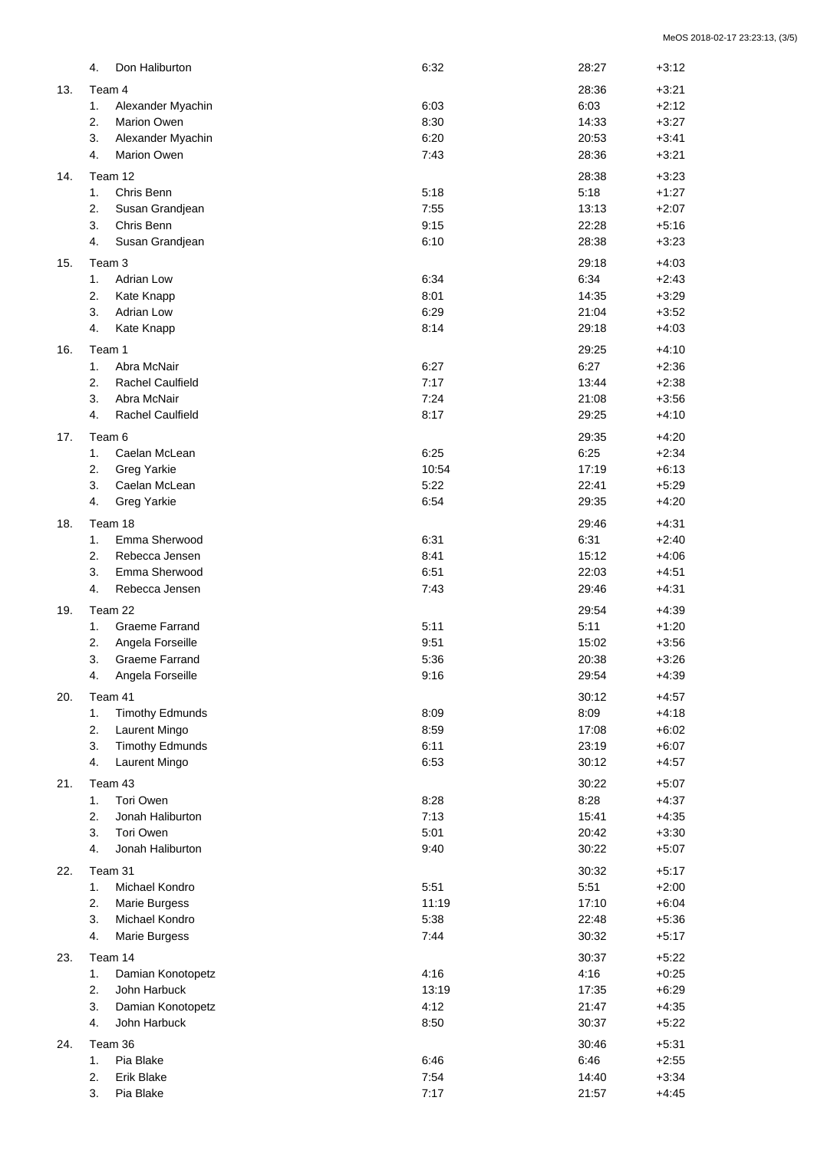|     | 4. | Don Haliburton          | 6:32         | 28:27         | $+3:12$            |
|-----|----|-------------------------|--------------|---------------|--------------------|
| 13. |    | Team 4                  |              | 28:36         | $+3:21$            |
|     | 1. | Alexander Myachin       | 6:03         | 6:03          | $+2:12$            |
|     | 2. | <b>Marion Owen</b>      | 8:30         | 14:33         | $+3:27$            |
|     | 3. | Alexander Myachin       | 6:20         | 20:53         | $+3:41$            |
|     | 4. | <b>Marion Owen</b>      | 7:43         | 28:36         | $+3:21$            |
|     |    |                         |              |               |                    |
| 14. |    | Team 12                 |              | 28:38         | $+3:23$            |
|     | 1. | Chris Benn              | 5:18         | 5:18          | $+1:27$            |
|     | 2. | Susan Grandjean         | 7:55         | 13:13         | $+2:07$            |
|     | 3. | Chris Benn              | 9:15         | 22:28         | $+5:16$            |
|     | 4. | Susan Grandjean         | 6:10         | 28:38         | $+3:23$            |
| 15. |    | Team 3                  |              | 29:18         | $+4:03$            |
|     | 1. | <b>Adrian Low</b>       | 6:34         | 6:34          | $+2:43$            |
|     | 2. | Kate Knapp              | 8:01         | 14:35         | $+3:29$            |
|     | 3. | Adrian Low              | 6:29         | 21:04         | $+3:52$            |
|     | 4. | Kate Knapp              | 8:14         | 29:18         | $+4:03$            |
|     |    | Team 1                  |              |               | $+4:10$            |
| 16. | 1. | Abra McNair             | 6:27         | 29:25         |                    |
|     | 2. | <b>Rachel Caulfield</b> | 7:17         | 6:27          | $+2:36$            |
|     |    |                         |              | 13:44         | $+2:38$            |
|     | 3. | Abra McNair             | 7:24         | 21:08         | $+3:56$            |
|     | 4. | <b>Rachel Caulfield</b> | 8:17         | 29:25         | $+4:10$            |
| 17. |    | Team 6                  |              | 29:35         | $+4:20$            |
|     | 1. | Caelan McLean           | 6:25         | 6:25          | $+2:34$            |
|     | 2. | <b>Greg Yarkie</b>      | 10:54        | 17:19         | $+6:13$            |
|     | 3. | Caelan McLean           | 5:22         | 22:41         | $+5:29$            |
|     | 4. | <b>Greg Yarkie</b>      | 6:54         | 29:35         | $+4:20$            |
| 18. |    | Team 18                 |              | 29:46         | $+4:31$            |
|     | 1. | Emma Sherwood           | 6:31         | 6:31          | $+2:40$            |
|     | 2. | Rebecca Jensen          | 8:41         | 15:12         | $+4:06$            |
|     | 3. | Emma Sherwood           | 6:51         | 22:03         | $+4:51$            |
|     | 4. | Rebecca Jensen          | 7:43         | 29:46         | $+4:31$            |
|     |    |                         |              |               |                    |
| 19. |    | Team 22                 |              | 29:54         | $+4:39$            |
|     | 1. | <b>Graeme Farrand</b>   | 5:11         | 5:11          | $+1:20$            |
|     | 2. | Angela Forseille        | 9:51         | 15:02         | $+3:56$            |
|     | 3. | <b>Graeme Farrand</b>   | 5:36         | 20:38         | $+3:26$            |
|     | 4. | Angela Forseille        | 9:16         | 29:54         | $+4:39$            |
| 20. |    | Team 41                 |              | 30:12         | $+4:57$            |
|     | 1. | <b>Timothy Edmunds</b>  | 8:09         | 8:09          | $+4:18$            |
|     | 2. | Laurent Mingo           | 8:59         | 17:08         | $+6:02$            |
|     | 3. | <b>Timothy Edmunds</b>  | 6:11         | 23:19         | $+6:07$            |
|     | 4. | Laurent Mingo           | 6:53         | 30:12         | $+4:57$            |
| 21. |    | Team 43                 |              | 30:22         | $+5:07$            |
|     | 1. | Tori Owen               | 8:28         | 8:28          | $+4:37$            |
|     | 2. | Jonah Haliburton        | 7:13         | 15:41         | $+4:35$            |
|     | 3. | Tori Owen               | 5:01         | 20:42         | $+3:30$            |
|     | 4. | Jonah Haliburton        | 9:40         | 30:22         | $+5:07$            |
|     |    |                         |              |               |                    |
| 22. |    | Team 31                 |              | 30:32         | $+5:17$            |
|     | 1. | Michael Kondro          | 5:51         | 5:51          | $+2:00$            |
|     | 2. | Marie Burgess           | 11:19        | 17:10         | $+6:04$            |
|     | 3. | Michael Kondro          | 5:38         | 22:48         | $+5:36$            |
|     | 4. | Marie Burgess           | 7:44         | 30:32         | $+5:17$            |
| 23. |    | Team 14                 |              | 30:37         | $+5:22$            |
|     | 1. | Damian Konotopetz       | 4:16         | 4:16          | $+0:25$            |
|     | 2. | John Harbuck            | 13:19        | 17:35         | $+6:29$            |
|     | 3. | Damian Konotopetz       | 4:12         | 21:47         | $+4:35$            |
|     | 4. | John Harbuck            | 8:50         | 30:37         | $+5:22$            |
|     |    | Team 36                 |              | 30:46         |                    |
| 24. | 1. | Pia Blake               |              |               | $+5:31$            |
|     | 2. | Erik Blake              | 6:46<br>7:54 | 6:46<br>14:40 | $+2:55$<br>$+3:34$ |
|     | 3. | Pia Blake               | 7:17         | 21:57         | $+4:45$            |
|     |    |                         |              |               |                    |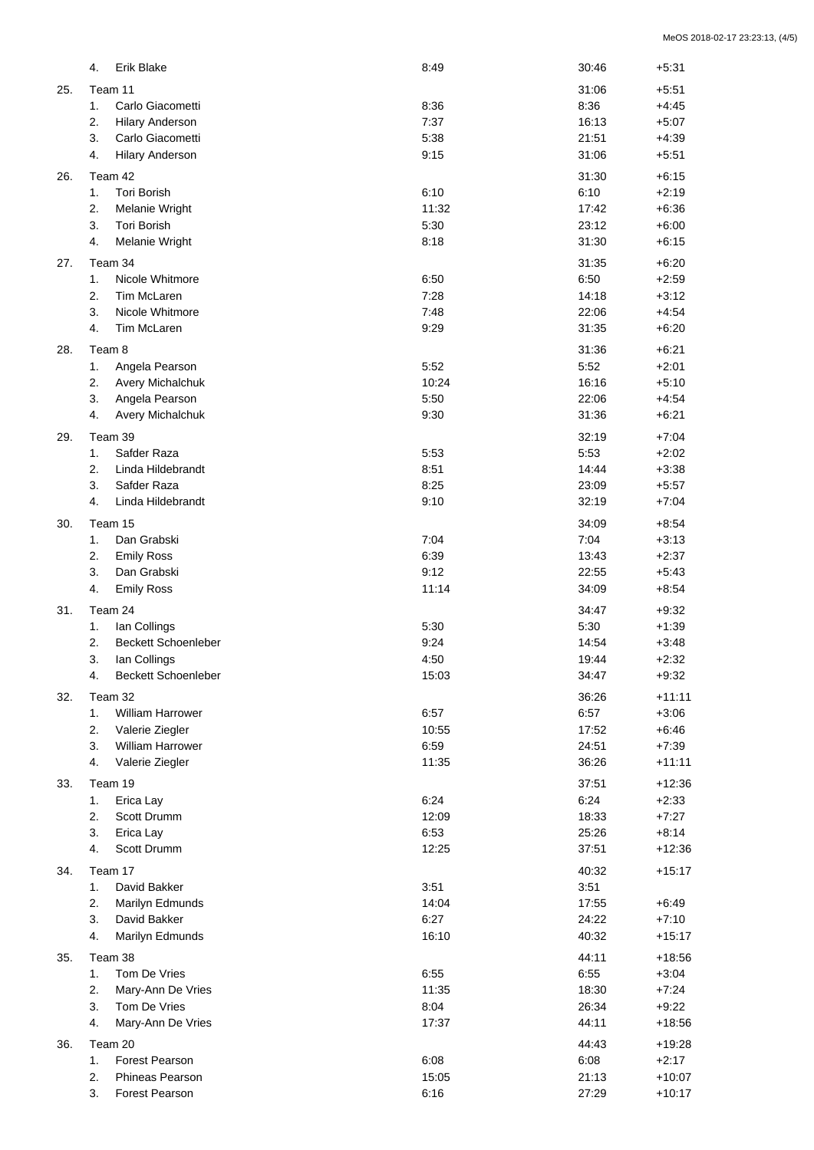|     | Erik Blake<br>4.                 | 8:49  | 30:46 | $+5:31$  |
|-----|----------------------------------|-------|-------|----------|
| 25. | Team 11                          |       | 31:06 | $+5:51$  |
|     | Carlo Giacometti<br>1.           | 8:36  | 8:36  | $+4:45$  |
|     | 2.<br><b>Hilary Anderson</b>     | 7:37  | 16:13 | $+5:07$  |
|     | 3.<br>Carlo Giacometti           | 5:38  | 21:51 | $+4:39$  |
|     |                                  |       |       |          |
|     | 4.<br><b>Hilary Anderson</b>     | 9:15  | 31:06 | $+5:51$  |
| 26. | Team 42                          |       | 31:30 | $+6:15$  |
|     | 1.<br>Tori Borish                | 6:10  | 6:10  | $+2:19$  |
|     | 2.<br>Melanie Wright             | 11:32 | 17:42 | $+6:36$  |
|     | 3.<br><b>Tori Borish</b>         | 5:30  | 23:12 | $+6:00$  |
|     | 4.<br>Melanie Wright             | 8:18  | 31:30 | $+6:15$  |
|     |                                  |       |       |          |
| 27. | Team 34                          |       | 31:35 | $+6:20$  |
|     | Nicole Whitmore<br>1.            | 6:50  | 6:50  | $+2:59$  |
|     | 2.<br>Tim McLaren                | 7:28  | 14:18 | $+3:12$  |
|     | 3.<br>Nicole Whitmore            | 7:48  | 22:06 | $+4:54$  |
|     | 4.<br>Tim McLaren                | 9:29  | 31:35 | $+6:20$  |
| 28. | Team 8                           |       | 31:36 | $+6:21$  |
|     | 1.<br>Angela Pearson             | 5:52  | 5:52  | $+2:01$  |
|     | 2.                               | 10:24 | 16:16 |          |
|     | Avery Michalchuk                 |       |       | $+5:10$  |
|     | 3.<br>Angela Pearson             | 5:50  | 22:06 | $+4:54$  |
|     | 4.<br>Avery Michalchuk           | 9:30  | 31:36 | $+6:21$  |
| 29. | Team 39                          |       | 32:19 | $+7:04$  |
|     | 1.<br>Safder Raza                | 5:53  | 5:53  | $+2:02$  |
|     | 2.<br>Linda Hildebrandt          | 8:51  | 14:44 | $+3:38$  |
|     | 3.<br>Safder Raza                | 8:25  | 23:09 | $+5:57$  |
|     | 4.<br>Linda Hildebrandt          | 9:10  | 32:19 | $+7:04$  |
|     |                                  |       |       |          |
| 30. | Team 15                          |       | 34:09 | $+8:54$  |
|     | Dan Grabski<br>1.                | 7:04  | 7:04  | $+3:13$  |
|     | 2.<br><b>Emily Ross</b>          | 6:39  | 13:43 | $+2:37$  |
|     | 3.<br>Dan Grabski                | 9:12  | 22:55 | $+5:43$  |
|     | 4.<br><b>Emily Ross</b>          | 11:14 | 34:09 | $+8:54$  |
| 31. | Team 24                          |       | 34:47 | $+9:32$  |
|     | 1.<br>Ian Collings               | 5:30  | 5:30  | $+1:39$  |
|     |                                  |       |       |          |
|     | 2.<br><b>Beckett Schoenleber</b> | 9:24  | 14:54 | $+3:48$  |
|     | 3.<br>Ian Collings               | 4:50  | 19:44 | $+2:32$  |
|     | Beckett Schoenleber<br>4.        | 15:03 | 34:47 | $+9:32$  |
| 32. | Team 32                          |       | 36:26 | $+11:11$ |
|     | <b>William Harrower</b><br>1.    | 6:57  | 6:57  | $+3:06$  |
|     | 2.<br>Valerie Ziegler            | 10:55 | 17:52 | $+6:46$  |
|     | 3.<br><b>William Harrower</b>    | 6:59  | 24:51 | $+7:39$  |
|     | 4.<br>Valerie Ziegler            | 11:35 | 36:26 | $+11:11$ |
|     |                                  |       |       |          |
| 33. | Team 19                          |       | 37:51 | $+12:36$ |
|     | Erica Lay<br>1.                  | 6:24  | 6:24  | $+2:33$  |
|     | 2.<br>Scott Drumm                | 12:09 | 18:33 | $+7:27$  |
|     | 3.<br>Erica Lay                  | 6:53  | 25:26 | $+8:14$  |
|     | 4.<br>Scott Drumm                | 12:25 | 37:51 | $+12:36$ |
| 34. | Team 17                          |       | 40:32 | $+15:17$ |
|     | 1.<br>David Bakker               | 3:51  |       |          |
|     |                                  |       | 3:51  |          |
|     | 2.<br>Marilyn Edmunds            | 14:04 | 17:55 | $+6:49$  |
|     | 3.<br>David Bakker               | 6:27  | 24:22 | $+7:10$  |
|     | 4.<br>Marilyn Edmunds            | 16:10 | 40:32 | $+15:17$ |
| 35. | Team 38                          |       | 44:11 | $+18:56$ |
|     | 1.<br>Tom De Vries               | 6:55  | 6:55  | $+3:04$  |
|     | 2.<br>Mary-Ann De Vries          | 11:35 | 18:30 | $+7:24$  |
|     | 3.<br>Tom De Vries               | 8:04  | 26:34 | $+9:22$  |
|     | 4.                               |       |       |          |
|     | Mary-Ann De Vries                | 17:37 | 44:11 | $+18:56$ |
| 36. | Team 20                          |       | 44:43 | $+19:28$ |
|     | 1.<br>Forest Pearson             | 6:08  | 6:08  | $+2:17$  |
|     | 2.<br>Phineas Pearson            | 15:05 | 21:13 | $+10:07$ |
|     | 3.<br>Forest Pearson             | 6:16  | 27:29 | $+10:17$ |
|     |                                  |       |       |          |